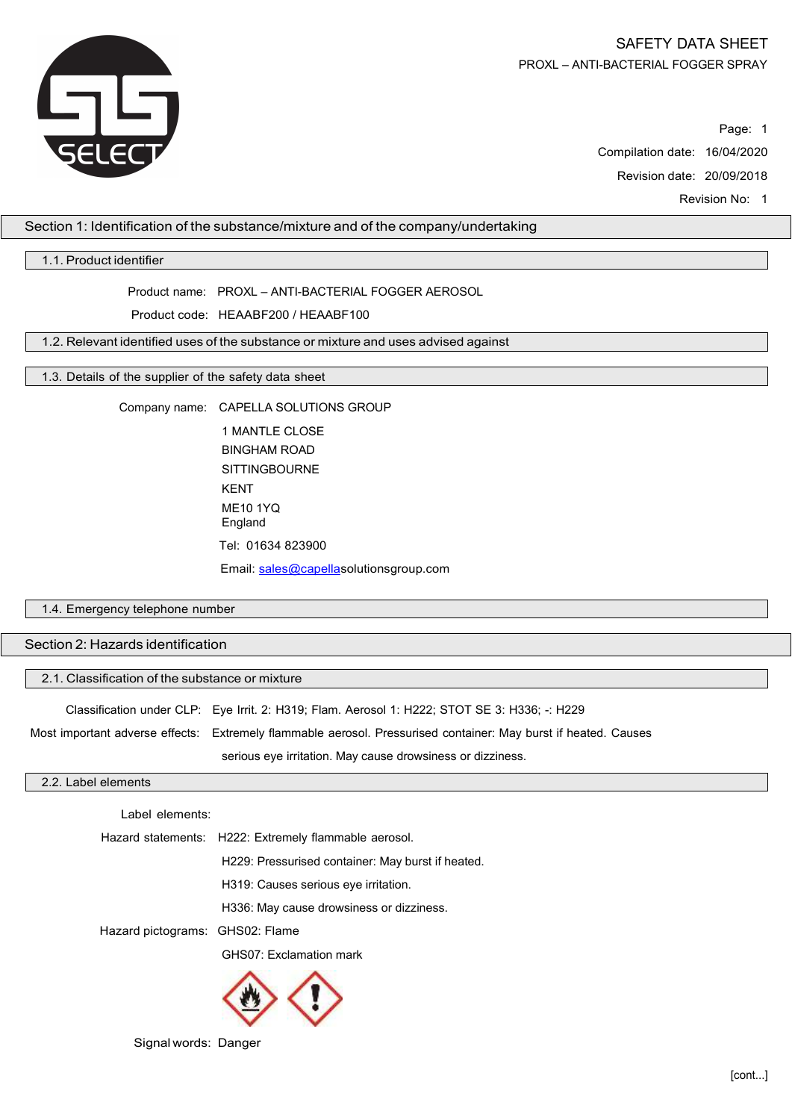

# SAFETY DATA SHEET PROXL – ANTI-BACTERIAL FOGGER SPRAY

Page: 1 Compilation date: 16/04/2020 Revision date: 20/09/2018 Revision No: 1

# Section 1: Identification of the substance/mixture and of the company/undertaking

## 1.1. Product identifier

Product name: PROXL – ANTI-BACTERIAL FOGGER AEROSOL

Product code: HEAABF200 / HEAABF100

1.2. Relevant identified uses of the substance or mixture and uses advised against

### 1.3. Details of the supplier of the safety data sheet

Company name: CAPELLA SOLUTIONS GROUP

1 MANTLE CLOSE BINGHAM ROAD **SITTINGBOURNE** KENT ME10 1YQ England Tel: 01634 823900 Email: [sales@capellas](mailto:sales@capella)olutionsgroup.com

# 1.4. Emergency telephone number

Section 2: Hazards identification

| 2.1. Classification of the substance or mixture |                                                                                                                 |  |  |
|-------------------------------------------------|-----------------------------------------------------------------------------------------------------------------|--|--|
|                                                 | Classification under CLP: Eye Irrit. 2: H319; Flam. Aerosol 1: H222; STOT SE 3: H336; -: H229                   |  |  |
|                                                 | Most important adverse effects: Extremely flammable aerosol. Pressurised container: May burst if heated. Causes |  |  |
|                                                 | serious eye irritation. May cause drowsiness or dizziness.                                                      |  |  |

## 2.2. Label elements

Label elements:

Hazard statements: H222: Extremely flammable aerosol.

H229: Pressurised container: May burst if heated.

H319: Causes serious eye irritation.

H336: May cause drowsiness or dizziness.

Hazard pictograms: GHS02: Flame

GHS07: Exclamation mark



Signal words: Danger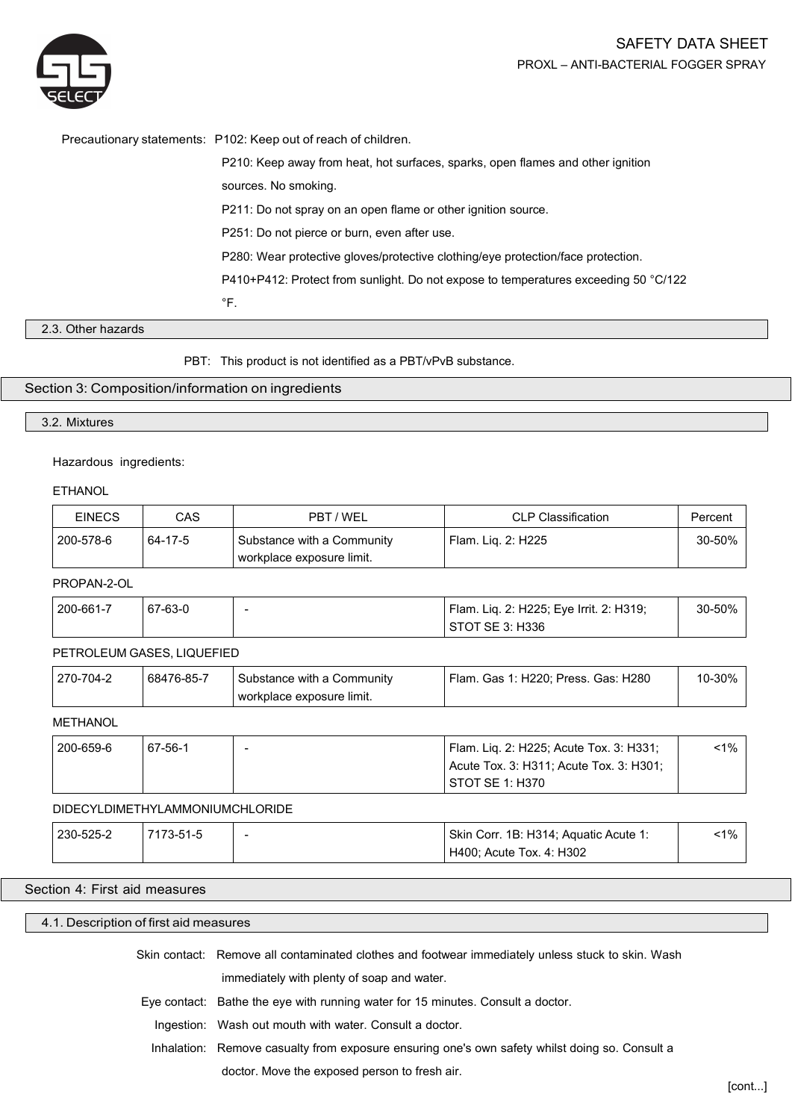



Precautionary statements: P102: Keep out of reach of children.

P210: Keep away from heat, hot surfaces, sparks, open flames and other ignition

sources. No smoking.

P211: Do not spray on an open flame or other ignition source.

P251: Do not pierce or burn, even after use.

P280: Wear protective gloves/protective clothing/eye protection/face protection.

P410+P412: Protect from sunlight. Do not expose to temperatures exceeding 50 °C/122

 $\degree$ F.

# 2.3. Other hazards

PBT: This product is not identified as a PBT/vPvB substance.

# Section 3: Composition/information on ingredients

## 3.2. Mixtures

### Hazardous ingredients:

**FTHANOL** 

| <b>EINECS</b> | CAS     | PBT / WEL                                               | <b>CLP Classification</b> | Percent     |
|---------------|---------|---------------------------------------------------------|---------------------------|-------------|
| 200-578-6     | 64-17-5 | Substance with a Community<br>workplace exposure limit. | Flam. Lig. 2: H225        | $30 - 50\%$ |

### PROPAN-2-OL

| 200-661-7 | 67-63-0 | Flam. Liq. 2: H225; Eye Irrit. 2: H319; | 30-50% |
|-----------|---------|-----------------------------------------|--------|
|           |         | STOT SE 3: H336                         |        |

# PETROLEUM GASES, LIQUEFIED

| 68476-85-7<br>270-704-2<br>Flam. Gas 1: H220; Press. Gas: H280<br>Substance with a Community<br>workplace exposure limit. | 10-30% |
|---------------------------------------------------------------------------------------------------------------------------|--------|
|---------------------------------------------------------------------------------------------------------------------------|--------|

**METHANOL** 

| 200-659-6 | 67-56-1 | Flam. Lig. 2: H225; Acute Tox. 3: H331; | <1% |
|-----------|---------|-----------------------------------------|-----|
|           |         | Acute Tox. 3: H311; Acute Tox. 3: H301; |     |
|           |         | STOT SE 1: H370                         |     |

### DIDECYLDIMETHYLAMMONIUMCHLORIDE

| 230-525-2 | 7173-51-5 | - | Skin Corr. 1B: H314; Aquatic Acute 1: | $1\%$ |  |
|-----------|-----------|---|---------------------------------------|-------|--|
|           |           |   | H400; Acute Tox. 4: H302              |       |  |

## Section 4: First aid measures

# 4.1. Description of first aid measures

Skin contact: Remove all contaminated clothes and footwear immediately unless stuck to skin. Wash

immediately with plenty of soap and water.

Eye contact: Bathe the eye with running water for 15 minutes. Consult a doctor.

Ingestion: Wash out mouth with water. Consult a doctor.

Inhalation: Remove casualty from exposure ensuring one's own safety whilst doing so. Consult a

doctor. Move the exposed person to fresh air.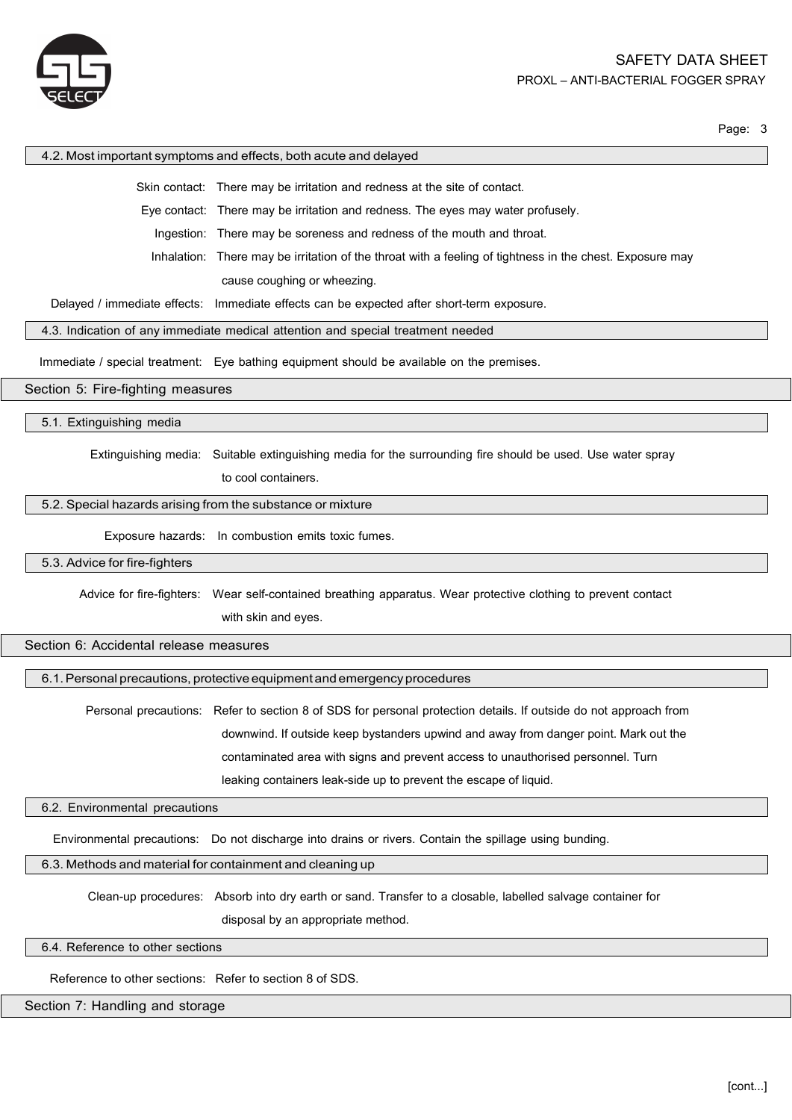

#### 4.2. Most important symptoms and effects, both acute and delayed

Skin contact: There may be irritation and redness at the site of contact.

Eye contact: There may be irritation and redness. The eyes may water profusely.

Ingestion: There may be soreness and redness of the mouth and throat.

Inhalation: There may be irritation of the throat with a feeling of tightness in the chest. Exposure may cause coughing or wheezing.

Delayed / immediate effects: Immediate effects can be expected after short-term exposure.

4.3. Indication of any immediate medical attention and special treatment needed

Immediate / special treatment: Eye bathing equipment should be available on the premises.

Section 5: Fire-fighting measures

5.1. Extinguishing media

Extinguishing media: Suitable extinguishing media for the surrounding fire should be used. Use water spray

to cool containers.

# 5.2. Special hazards arising from the substance or mixture

Exposure hazards: In combustion emits toxic fumes.

### 5.3. Advice for fire-fighters

Advice for fire-fighters: Wear self-contained breathing apparatus. Wear protective clothing to prevent contact with skin and eyes.

## Section 6: Accidental release measures

6.1.Personal precautions, protective equipment and emergencyprocedures

Personal precautions: Refer to section 8 of SDS for personal protection details. If outside do not approach from downwind. If outside keep bystanders upwind and away from danger point. Mark out the contaminated area with signs and prevent access to unauthorised personnel. Turn leaking containers leak-side up to prevent the escape of liquid.

# 6.2. Environmental precautions

Environmental precautions: Do not discharge into drains or rivers. Contain the spillage using bunding.

# 6.3. Methods and material for containment and cleaning up

Clean-up procedures: Absorb into dry earth or sand. Transfer to a closable, labelled salvage container for disposal by an appropriate method.

6.4. Reference to other sections

Reference to other sections: Refer to section 8 of SDS.

### Section 7: Handling and storage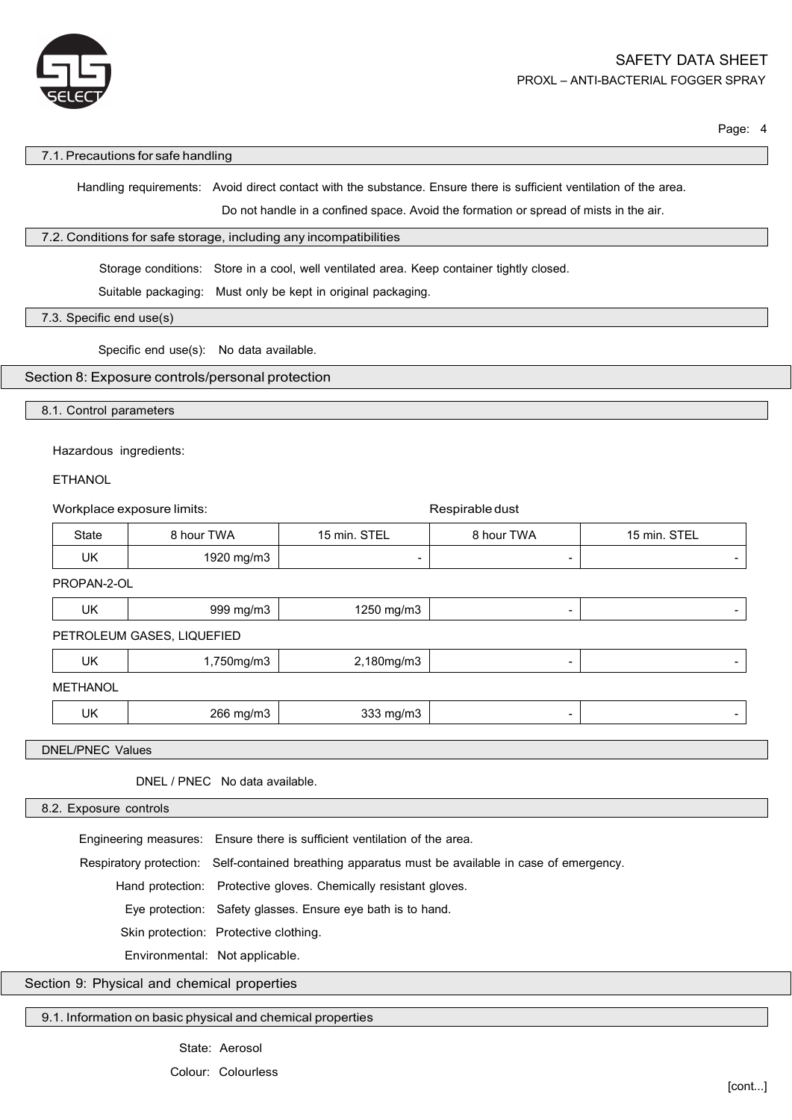

#### 7.1. Precautions for safe handling

Handling requirements: Avoid direct contact with the substance. Ensure there is sufficient ventilation of the area.

Do not handle in a confined space. Avoid the formation or spread of mists in the air.

### 7.2. Conditions for safe storage, including any incompatibilities

Storage conditions: Store in a cool, well ventilated area. Keep container tightly closed.

Suitable packaging: Must only be kept in original packaging.

7.3. Specific end use(s)

Specific end use(s): No data available.

# Section 8: Exposure controls/personal protection

8.1. Control parameters

### Hazardous ingredients:

ETHANOL

| Workplace exposure limits: |                                |                          | Respirable dust |              |
|----------------------------|--------------------------------|--------------------------|-----------------|--------------|
| State                      | 8 hour TWA                     | 15 min. STEL             | 8 hour TWA      | 15 min. STEL |
| UK.                        | 1920 mg/m3                     | $\overline{\phantom{0}}$ | $\qquad \qquad$ |              |
| PROPAN-2-OL                |                                |                          |                 |              |
| UK                         | 999 mg/m3                      | 1250 mg/m3               | $\blacksquare$  |              |
|                            | PETROLEUM GASES, LIQUEFIED     |                          |                 |              |
| <b>UK</b>                  | 1,750mg/m3                     | 2,180mg/m3               | $\blacksquare$  |              |
| <b>METHANOL</b>            |                                |                          |                 |              |
| UK                         | 266 mg/m3                      | 333 mg/m3                | $\blacksquare$  |              |
|                            |                                |                          |                 |              |
| <b>DNEL/PNEC Values</b>    |                                |                          |                 |              |
|                            | DNEL / PNEC No data available. |                          |                 |              |

8.2. Exposure controls

Engineering measures: Ensure there is sufficient ventilation of the area.

Respiratory protection: Self-contained breathing apparatus must be available in case of emergency.

Hand protection: Protective gloves. Chemically resistant gloves.

Eye protection: Safety glasses. Ensure eye bath is to hand.

Skin protection: Protective clothing.

Environmental: Not applicable.

Section 9: Physical and chemical properties

9.1. Information on basic physical and chemical properties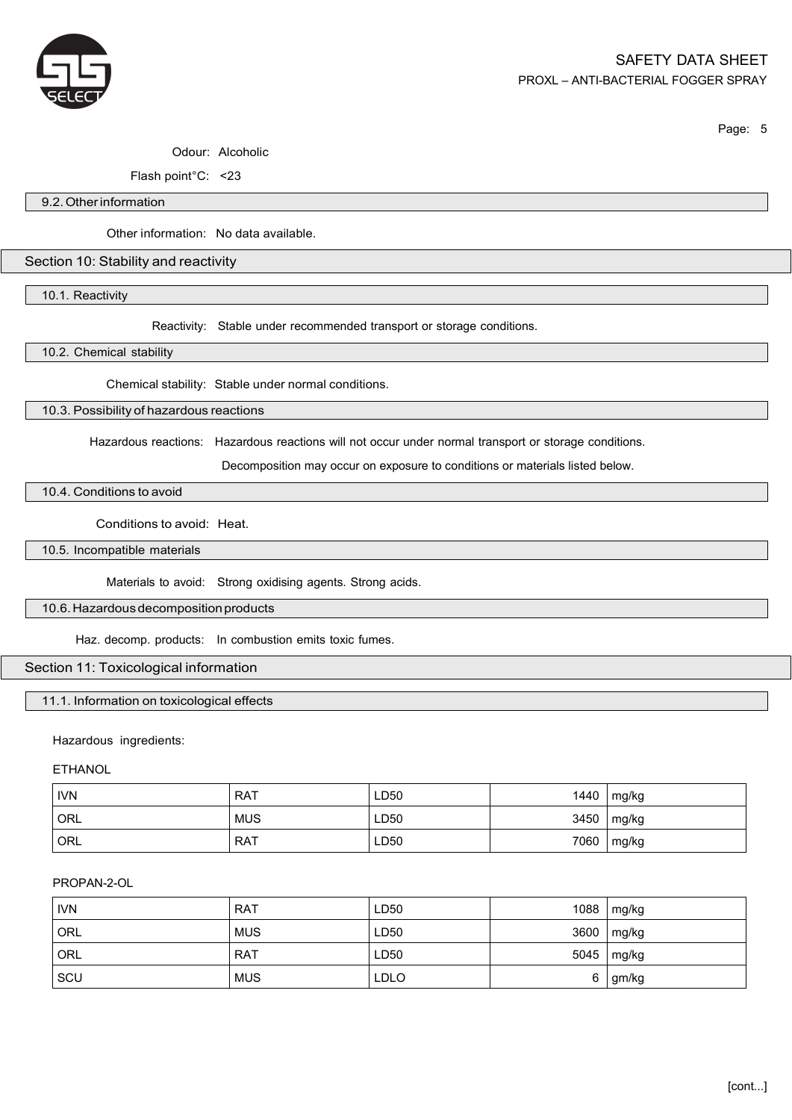

# Odour: Alcoholic

Flash point°C: <23

### 9.2.Otherinformation

Other information: No data available.

## Section 10: Stability and reactivity

10.1. Reactivity

Reactivity: Stable under recommended transport or storage conditions.

10.2. Chemical stability

Chemical stability: Stable under normal conditions.

10.3. Possibility of hazardous reactions

Hazardous reactions: Hazardous reactions will not occur under normal transport or storage conditions.

Decomposition may occur on exposure to conditions or materials listed below.

10.4. Conditions to avoid

Conditions to avoid: Heat.

10.5. Incompatible materials

Materials to avoid: Strong oxidising agents. Strong acids.

# 10.6. Hazardous decomposition products

Haz. decomp. products: In combustion emits toxic fumes.

# Section 11: Toxicological information

### 11.1. Information on toxicological effects

# Hazardous ingredients:

**ETHANOL** 

| <b>IVN</b> | <b>RAT</b> | LD50 | 1440 | mg/kg |
|------------|------------|------|------|-------|
| <b>ORL</b> | <b>MUS</b> | LD50 | 3450 | mg/kg |
| <b>ORL</b> | <b>RAT</b> | LD50 | 7060 | mg/kg |

# PROPAN-2-OL

| <b>IVN</b> | <b>RAT</b> | LD50 |      | 1088   mg/kg |
|------------|------------|------|------|--------------|
| ORL        | <b>MUS</b> | LD50 | 3600 | mg/kg        |
| ORL        | <b>RAT</b> | LD50 |      | 5045   mg/kg |
| SCU        | <b>MUS</b> | LDLO | 6    | gm/kg        |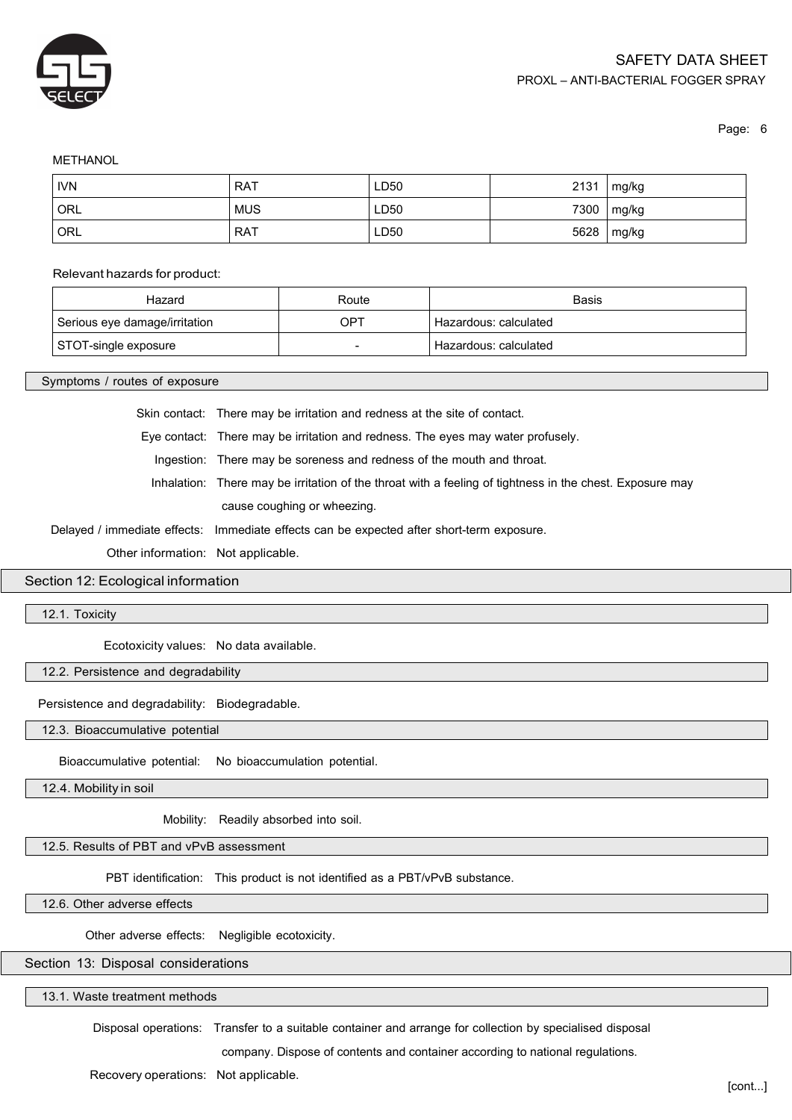

### **METHANOL**

| <b>IVN</b> | <b>RAT</b> | LD <sub>50</sub> | 2131 | mg/kg |
|------------|------------|------------------|------|-------|
| ORL        | <b>MUS</b> | LD50             | 7300 | mg/kg |
| ORL        | <b>RAT</b> | LD50             | 5628 | mg/kg |

#### Relevant hazards for product:

| Hazard                        | Route | Basis                 |
|-------------------------------|-------|-----------------------|
| Serious eye damage/irritation | OPT   | Hazardous: calculated |
| STOT-single exposure          |       | Hazardous: calculated |

Symptoms / routes of exposure

Skin contact: There may be irritation and redness at the site of contact.

Eye contact: There may be irritation and redness. The eyes may water profusely.

Ingestion: There may be soreness and redness of the mouth and throat.

Inhalation: There may be irritation of the throat with a feeling of tightness in the chest. Exposure may cause coughing or wheezing.

Delayed / immediate effects: Immediate effects can be expected after short-term exposure.

Other information: Not applicable.

Section 12: Ecological information

12.1. Toxicity

Ecotoxicity values: No data available.

12.2. Persistence and degradability

Persistence and degradability: Biodegradable.

12.3. Bioaccumulative potential

Bioaccumulative potential: No bioaccumulation potential.

12.4. Mobility in soil

Mobility: Readily absorbed into soil.

# 12.5. Results of PBT and vPvB assessment

PBT identification: This product is not identified as a PBT/vPvB substance.

12.6. Other adverse effects

Other adverse effects: Negligible ecotoxicity.

# Section 13: Disposal considerations

13.1. Waste treatment methods

Disposal operations: Transfer to a suitable container and arrange for collection by specialised disposal

company. Dispose of contents and container according to national regulations.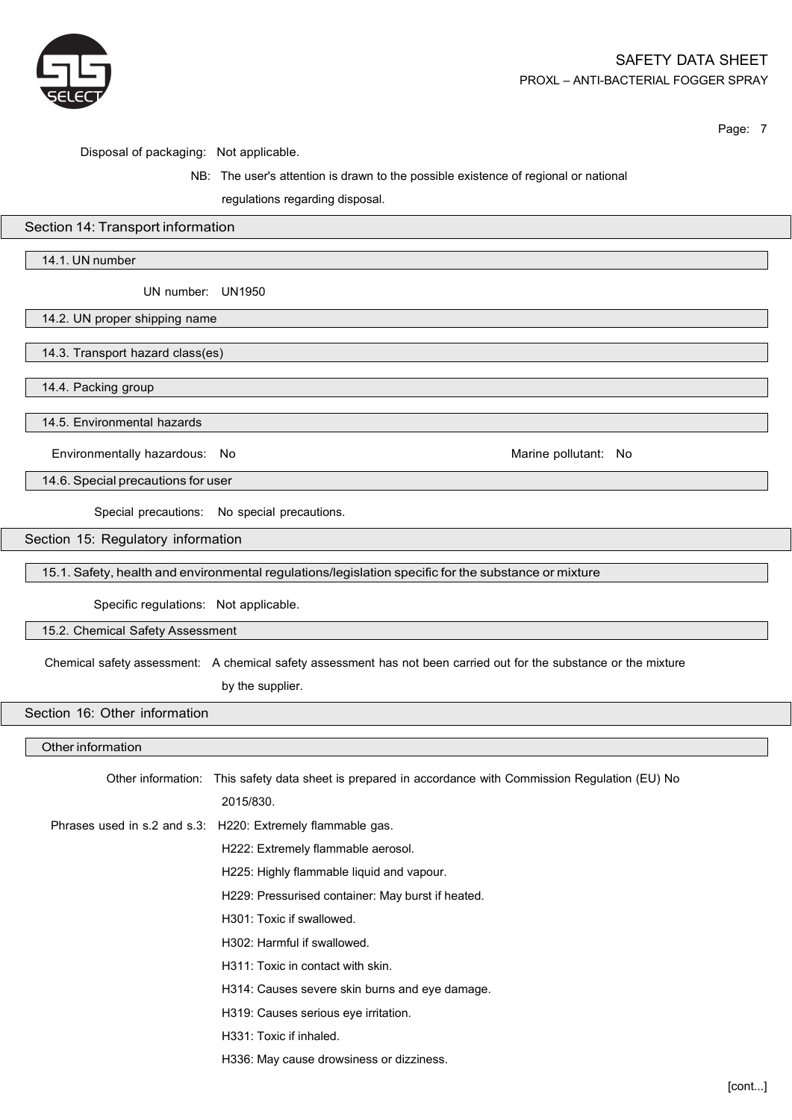

Disposal of packaging: Not applicable.

# NB: The user's attention is drawn to the possible existence of regional or national

regulations regarding disposal.

# Section 14: Transport information

14.1. UN number

UN number: UN1950

14.2. UN proper shipping name

14.3. Transport hazard class(es)

14.4. Packing group

14.5. Environmental hazards

Environmentally hazardous: No **Marine Pollutant: No Marine pollutant: No** Marine pollutant: No

14.6. Special precautions for user

Special precautions: No special precautions.

Section 15: Regulatory information

15.1. Safety, health and environmental regulations/legislation specific for the substance or mixture

Specific regulations: Not applicable.

15.2. Chemical Safety Assessment

Chemical safety assessment: A chemical safety assessment has not been carried out for the substance or the mixture

by the supplier.

Section 16: Other information

## Other information

| Other information: This safety data sheet is prepared in accordance with Commission Regulation (EU) No |
|--------------------------------------------------------------------------------------------------------|
| 2015/830.                                                                                              |
| Phrases used in s.2 and s.3: H220: Extremely flammable gas.                                            |
| H222: Extremely flammable aerosol.                                                                     |
| H225: Highly flammable liquid and vapour.                                                              |
| H229: Pressurised container: May burst if heated.                                                      |
| H301: Toxic if swallowed.                                                                              |
| H302: Harmful if swallowed.                                                                            |
| H311: Toxic in contact with skin.                                                                      |
| H314: Causes severe skin burns and eye damage.                                                         |
| H319: Causes serious eye irritation.                                                                   |
| H331: Toxic if inhaled.                                                                                |
| H336: May cause drowsiness or dizziness.                                                               |